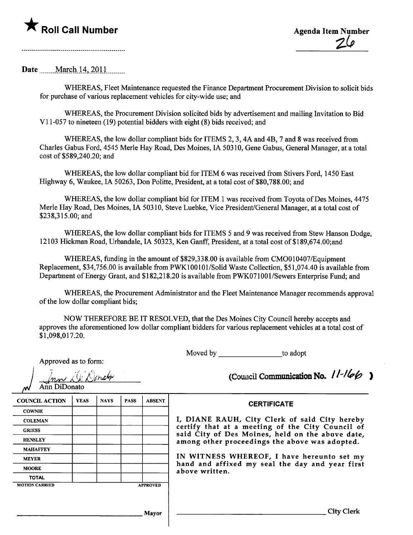

Date <u>March 14</u>, 2011 .........

WHEREAS, Fleet Maintenance requested the Finance Department Procurement Division to solicit bids for purchase of various replacement vehicles for city-wide use; and

WHREAS, the Procurement Division solicited bids by advertisement and mailing Invitation to Bid Vi 1-057 to nineteen (19) potential bidders with eight (8) bids received; and

WHREAS, the low dollar compliant bids for ITEMS 2, 3, 4A and 4B, 7 and 8 was received from Charles Gabus Ford, 4545 Merle Hay Road, Des Moines, IA 50310, Gene Gabus, General Manager, at a total cost of \$589,240.20; and

WHREAS, the low dollar compliant bid for ITEM 6 was received from Stivers Ford, 1450 East Highway 6, Waukee, IA 50263, Don Politte, President, at a total cost of \$80,788.00; and

WHREAS, the low dollar compliant bid for ITEM 1 was received from Toyota of Des Moines, 4475 Merle Hay Road, Des Moines, IA 50310, Steve Luebke, Vice President/General Manager, at a total cost of \$238,315.00; and

WHEREAS, the low dollar compliant bids for ITEMS 5 and 9 was received from Stew Hanson Dodge, 12103 Hickman Road, Urbandale, IA 50323, Ken Ganff, President, at a total cost of \$189,674.00;and

WHEREAS, funding in the amount of \$829,338.00 is available from CMO010407/Equipment Replacement, \$34,756.00 is available from PWKI00I01lSolid Waste Collection, \$51,074.40 is available from Department of Energy Grant, and \$182,218.20 is available from PWK071001/Sewers Enterprise Fund; and

WHREAS, the Procurement Administrator and the Fleet Maintenance Manager recommends approval of the low dollar compliant bids;

NOW THEREFORE BE IT RESOLVED, that the Des Moines City Council hereby accepts and approves the aforementioned low dollar compliant bidders for various replacement vehicles at a total cost of \$1,098,017.20.

Moved by to adopt

| Approved as to form: |  |  |  |
|----------------------|--|--|--|
|----------------------|--|--|--|

| WAY. Nonam   |  |
|--------------|--|
| Ann DiDonato |  |

| $11 - 11$ |  |
|-----------|--|
|           |  |

|                       | Inn L. Donate<br>Ann DiDonato |             |             |                 | (Council Communication No. $11 - 166$                                                                |  |  |
|-----------------------|-------------------------------|-------------|-------------|-----------------|------------------------------------------------------------------------------------------------------|--|--|
| <b>COUNCIL ACTION</b> | <b>YEAS</b>                   | <b>NAYS</b> | <b>PASS</b> | <b>ABSENT</b>   | <b>CERTIFICATE</b>                                                                                   |  |  |
| <b>COWNIE</b>         |                               |             |             |                 |                                                                                                      |  |  |
| <b>COLEMAN</b>        |                               |             |             |                 | I, DIANE RAUH, City Clerk of said City hereby                                                        |  |  |
| <b>GRIESS</b>         |                               |             |             |                 | certify that at a meeting of the City Council of<br>said City of Des Moines, held on the above date, |  |  |
| <b>HENSLEY</b>        |                               |             |             |                 | among other proceedings the above was adopted.                                                       |  |  |
| <b>MAHAFFEY</b>       |                               |             |             |                 |                                                                                                      |  |  |
| <b>MEYER</b>          |                               |             |             |                 | IN WITNESS WHEREOF, I have hereunto set my                                                           |  |  |
| <b>MOORE</b>          |                               |             |             |                 | hand and affixed my seal the day and year first<br>above written.                                    |  |  |
| <b>TOTAL</b>          |                               |             |             |                 |                                                                                                      |  |  |
| <b>MOTION CARRIED</b> |                               |             |             | <b>APPROVED</b> |                                                                                                      |  |  |
|                       |                               |             |             |                 |                                                                                                      |  |  |
|                       |                               |             |             | <b>Mayor</b>    | City Clerk                                                                                           |  |  |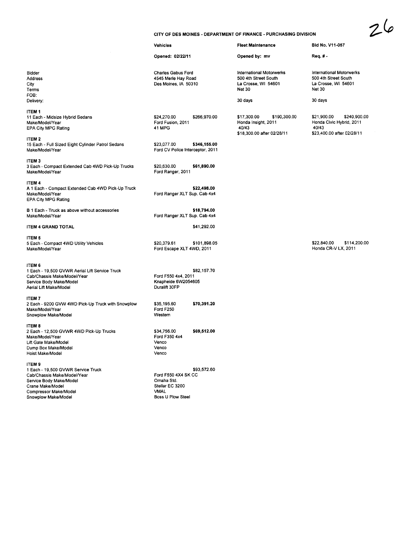|                                                           | CITY OF DES MOINES - DEPARTMENT OF FINANCE - PURCHASING DIVISION         |              |                                                                                          |              |                                                                                          |              |
|-----------------------------------------------------------|--------------------------------------------------------------------------|--------------|------------------------------------------------------------------------------------------|--------------|------------------------------------------------------------------------------------------|--------------|
|                                                           | <b>Vehicles</b>                                                          |              | <b>Fleet Maintenance</b>                                                                 |              | Bid No. V11-057                                                                          |              |
|                                                           | Opened: 02/22/11                                                         |              | Opened by: mv                                                                            |              | Req. # -                                                                                 |              |
|                                                           | <b>Charles Gabus Ford</b><br>4545 Merie Hay Road<br>Des Moines, IA 50310 |              | International Motorwerks<br>500 4th Street South<br>La Crosse, WI 54601<br><b>Net 30</b> |              | International Motorwerks<br>500 4th Street South<br>La Crosse, WI 54601<br><b>Net 30</b> |              |
|                                                           |                                                                          |              | 30 days                                                                                  |              | 30 days                                                                                  |              |
| brid Sedans                                               | \$24,270.00<br>Ford Fusion, 2011<br>41 MPG                               | \$266,970.00 | \$17,300.00<br>Honda Insight, 2011<br>40/43<br>\$18,300.00 after 02/28/11                | \$190,300.00 | \$21,900.00<br>Honda Civic Hybrid, 2011<br>40/43<br>\$23,400.00 after 02/28/11           | \$240,900.00 |
| Eight Cylinder Patrol Sedans                              | \$23,077.00<br>Ford CV Police Interceptor, 2011                          | \$346,155.00 |                                                                                          |              |                                                                                          |              |
| tended Cab 4WD Pick-Up Trucks                             | \$20,630.00<br>Ford Ranger, 2011                                         | \$61,890.00  |                                                                                          |              |                                                                                          |              |
| Extended Cab 4WD Pick-Up Truck                            | Ford Ranger XLT Sup. Cab 4x4                                             | \$22,498.00  |                                                                                          |              |                                                                                          |              |
| above without accessories                                 |                                                                          | \$18,794.00  |                                                                                          |              |                                                                                          |              |
| ΆL                                                        | Ford Ranger XLT Sup. Cab 4x4                                             | \$41,292.00  |                                                                                          |              |                                                                                          |              |
| VD Utility Vehicles                                       | \$20,379.61<br>Ford Escape XLT 4WD, 2011                                 | \$101,898.05 |                                                                                          |              | \$22,840.00<br>Honda CR-V LX, 2011                                                       | \$114,200.00 |
| VR Aerial Lift Service Truck<br>lodel/Year<br>lodel<br>3I | Ford F550 4x4, 2011<br>Knapheide 6W2054605<br>Duralift 30FP              | \$82,157.70  |                                                                                          |              |                                                                                          |              |
| 4WD Pick-Up Truck with Snowplow<br>lеl                    | \$35,195.60<br>Ford F250<br>Western                                      | \$70,391.20  |                                                                                          |              |                                                                                          |              |
| VR 4WD Pick-Up Trucks<br>lel                              | \$34,756.00<br>Ford F350 4x4<br>Venco<br>Venco<br>Venco                  | \$69,512.00  |                                                                                          |              |                                                                                          |              |
| VR Service Truck<br>lodel/Year<br>lodel                   | Ford F550 4X4 SK CC<br>Omaha Std.<br>Stellar EC 3200                     | \$93,572.60  |                                                                                          |              |                                                                                          |              |

 $26$ 

Bidder Address City Terms FOB: Delivery:

ITEM 1 11 Each - Midsize Hy Make/Model/Year EPA City MPG Rating

# ITEM 2

15 Each - Full Sized Make/Model/Year

## ITEM 3

3 Each - Compact Ext Make/Model/Year

## ITEM 4

A 1 Each - Compact Make/ModellYear EPA City MPG Rating

B 1 Each - Truck as a Make/Model/Year

### **ITEM 4 GRAND TOTA**

#### ITEM 5

5 Each - Compact 4W Make/Model/Year

### ITEM 6

1 Each - 19,500 GVW Cab/Chassis Make/M Service Body Make/M Aerial Lift Make/Mode

#### ITEM 7

2 Each - 9200 GVW 4 Make/Model/Year Snowplow Make/Mode

> VMAL Boss U Plow Steel

### ITEM 8

2 Each - 12,500 GVW Make/Model/Year Lift Gate Make/Model Dump Box Make/Mod Hoist Make/Model

#### ITEM 9

1 Each - 19,500 GVW Cab/Chassis Make/M Service Body Make/M Crane Make/Model Compressor Make/Model Snowplow Make/Model